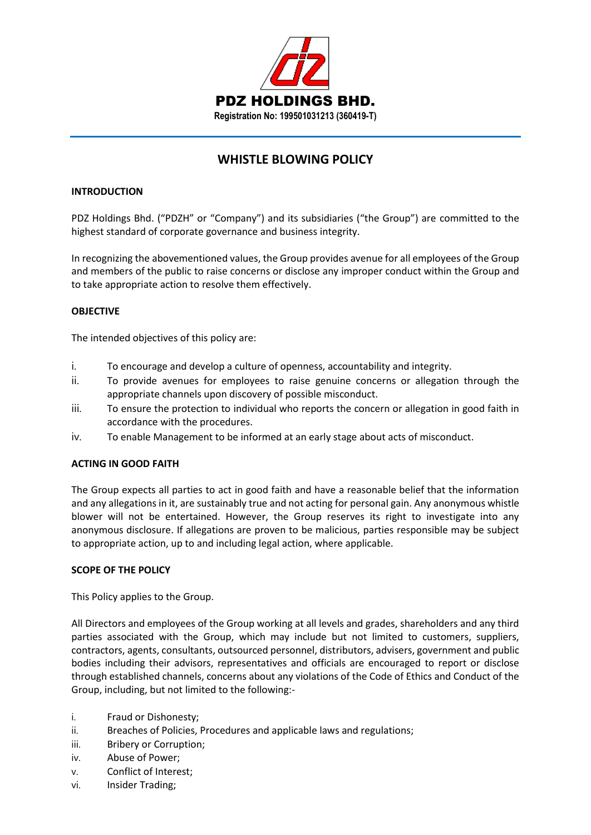

# **WHISTLE BLOWING POLICY**

#### **INTRODUCTION**

PDZ Holdings Bhd. ("PDZH" or "Company") and its subsidiaries ("the Group") are committed to the highest standard of corporate governance and business integrity.

In recognizing the abovementioned values, the Group provides avenue for all employees of the Group and members of the public to raise concerns or disclose any improper conduct within the Group and to take appropriate action to resolve them effectively.

## **OBJECTIVE**

The intended objectives of this policy are:

- i. To encourage and develop a culture of openness, accountability and integrity.
- ii. To provide avenues for employees to raise genuine concerns or allegation through the appropriate channels upon discovery of possible misconduct.
- iii. To ensure the protection to individual who reports the concern or allegation in good faith in accordance with the procedures.
- iv. To enable Management to be informed at an early stage about acts of misconduct.

## **ACTING IN GOOD FAITH**

The Group expects all parties to act in good faith and have a reasonable belief that the information and any allegations in it, are sustainably true and not acting for personal gain. Any anonymous whistle blower will not be entertained. However, the Group reserves its right to investigate into any anonymous disclosure. If allegations are proven to be malicious, parties responsible may be subject to appropriate action, up to and including legal action, where applicable.

## **SCOPE OF THE POLICY**

This Policy applies to the Group.

All Directors and employees of the Group working at all levels and grades, shareholders and any third parties associated with the Group, which may include but not limited to customers, suppliers, contractors, agents, consultants, outsourced personnel, distributors, advisers, government and public bodies including their advisors, representatives and officials are encouraged to report or disclose through established channels, concerns about any violations of the Code of Ethics and Conduct of the Group, including, but not limited to the following:-

- i. Fraud or Dishonesty;
- ii. Breaches of Policies, Procedures and applicable laws and regulations;
- iii. Bribery or Corruption;
- iv. Abuse of Power;
- v. Conflict of Interest;
- vi. Insider Trading;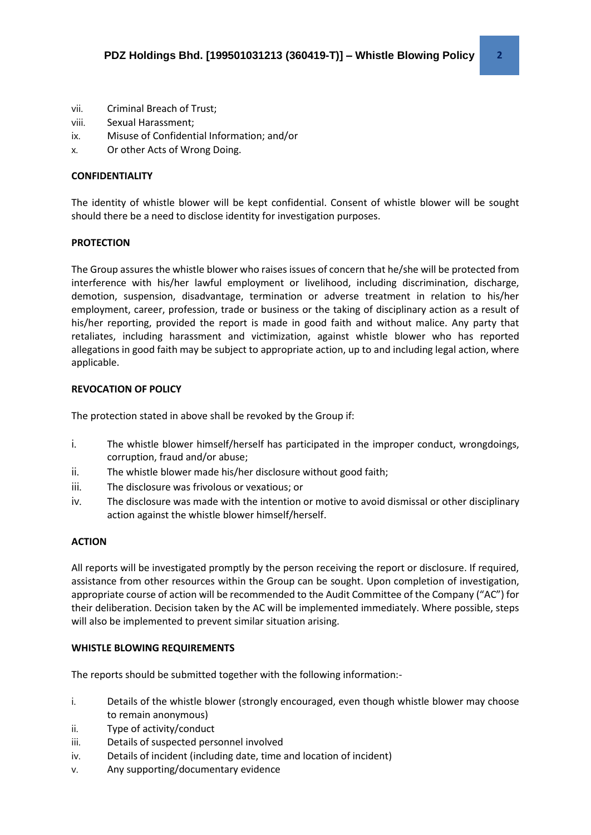- vii. Criminal Breach of Trust;
- viii. Sexual Harassment;
- ix. Misuse of Confidential Information; and/or
- x. Or other Acts of Wrong Doing.

## **CONFIDENTIALITY**

The identity of whistle blower will be kept confidential. Consent of whistle blower will be sought should there be a need to disclose identity for investigation purposes.

#### **PROTECTION**

The Group assures the whistle blower who raises issues of concern that he/she will be protected from interference with his/her lawful employment or livelihood, including discrimination, discharge, demotion, suspension, disadvantage, termination or adverse treatment in relation to his/her employment, career, profession, trade or business or the taking of disciplinary action as a result of his/her reporting, provided the report is made in good faith and without malice. Any party that retaliates, including harassment and victimization, against whistle blower who has reported allegations in good faith may be subject to appropriate action, up to and including legal action, where applicable.

#### **REVOCATION OF POLICY**

The protection stated in above shall be revoked by the Group if:

- i. The whistle blower himself/herself has participated in the improper conduct, wrongdoings, corruption, fraud and/or abuse;
- ii. The whistle blower made his/her disclosure without good faith;
- iii. The disclosure was frivolous or vexatious; or
- iv. The disclosure was made with the intention or motive to avoid dismissal or other disciplinary action against the whistle blower himself/herself.

## **ACTION**

All reports will be investigated promptly by the person receiving the report or disclosure. If required, assistance from other resources within the Group can be sought. Upon completion of investigation, appropriate course of action will be recommended to the Audit Committee of the Company ("AC") for their deliberation. Decision taken by the AC will be implemented immediately. Where possible, steps will also be implemented to prevent similar situation arising.

## **WHISTLE BLOWING REQUIREMENTS**

The reports should be submitted together with the following information:-

- i. Details of the whistle blower (strongly encouraged, even though whistle blower may choose to remain anonymous)
- ii. Type of activity/conduct
- iii. Details of suspected personnel involved
- iv. Details of incident (including date, time and location of incident)
- v. Any supporting/documentary evidence